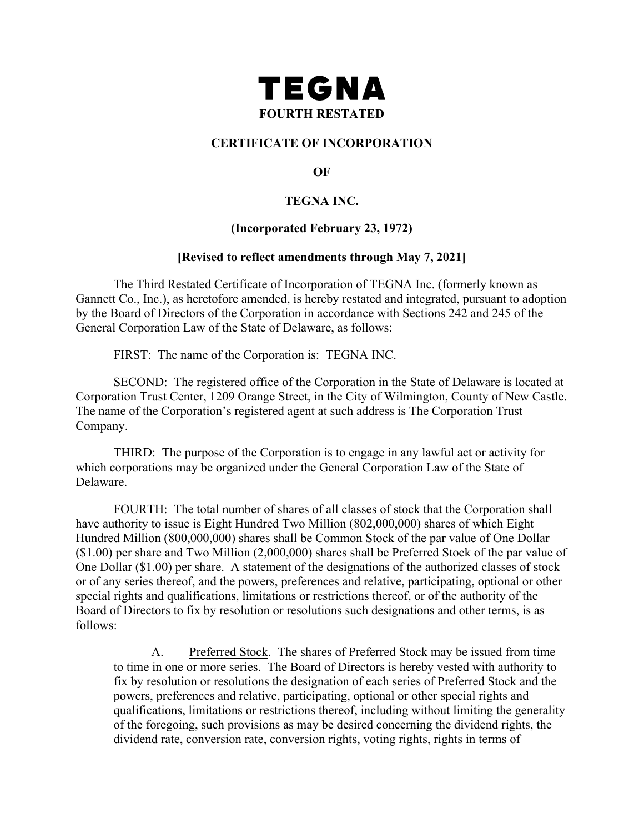

## **CERTIFICATE OF INCORPORATION**

**OF**

## **TEGNA INC.**

### **(Incorporated February 23, 1972)**

#### **[Revised to reflect amendments through May 7, 2021]**

The Third Restated Certificate of Incorporation of TEGNA Inc. (formerly known as Gannett Co., Inc.), as heretofore amended, is hereby restated and integrated, pursuant to adoption by the Board of Directors of the Corporation in accordance with Sections 242 and 245 of the General Corporation Law of the State of Delaware, as follows:

FIRST: The name of the Corporation is: TEGNA INC.

SECOND: The registered office of the Corporation in the State of Delaware is located at Corporation Trust Center, 1209 Orange Street, in the City of Wilmington, County of New Castle. The name of the Corporation's registered agent at such address is The Corporation Trust Company.

THIRD: The purpose of the Corporation is to engage in any lawful act or activity for which corporations may be organized under the General Corporation Law of the State of Delaware.

<span id="page-0-0"></span>FOURTH: The total number of shares of all classes of stock that the Corporation shall have authority to issue is Eight Hundred Two Million (802,000,000) shares of which Eight Hundred Million (800,000,000) shares shall be Common Stock of the par value of One Dollar (\$1.00) per share and Two Million (2,000,000) shares shall be Preferred Stock of the par value of One Dollar (\$1.00) per share. A statement of the designations of the authorized classes of stock or of any series thereof, and the powers, preferences and relative, participating, optional or other special rights and qualifications, limitations or restrictions thereof, or of the authority of the Board of Directors to fix by resolution or resolutions such designations and other terms, is as follows:

A. Preferred Stock. The shares of Preferred Stock may be issued from time to time in one or more series. The Board of Directors is hereby vested with authority to fix by resolution or resolutions the designation of each series of Preferred Stock and the powers, preferences and relative, participating, optional or other special rights and qualifications, limitations or restrictions thereof, including without limiting the generality of the foregoing, such provisions as may be desired concerning the dividend rights, the dividend rate, conversion rate, conversion rights, voting rights, rights in terms of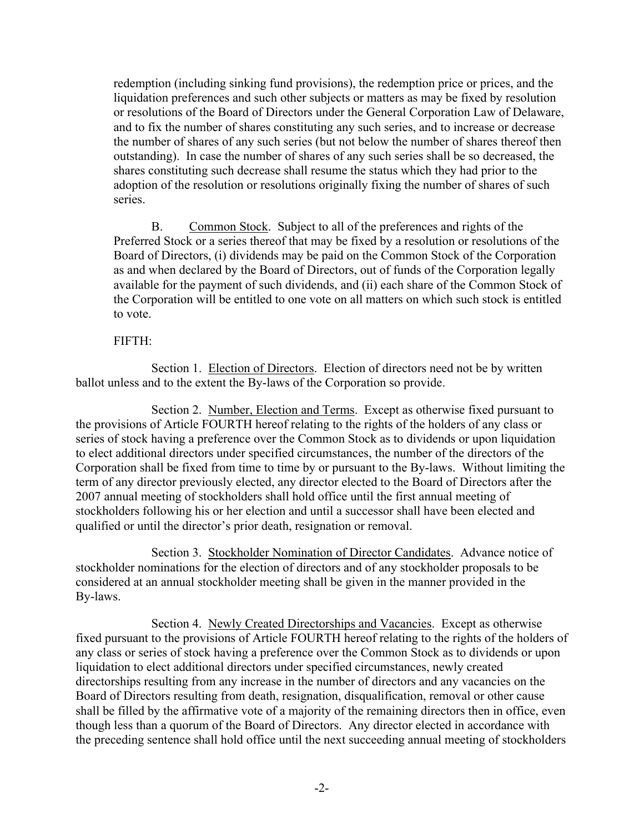redemption (including sinking fund provisions), the redemption price or prices, and the liquidation preferences and such other subjects or matters as may be fixed by resolution or resolutions of the Board of Directors under the General Corporation Law of Delaware, and to fix the number of shares constituting any such series, and to increase or decrease the number of shares of any such series (but not below the number of shares thereof then outstanding). In case the number of shares of any such series shall be so decreased, the shares constituting such decrease shall resume the status which they had prior to the adoption of the resolution or resolutions originally fixing the number of shares of such series.

B. Common Stock. Subject to all of the preferences and rights of the Preferred Stock or a series thereof that may be fixed by a resolution or resolutions of the Board of Directors, (i) dividends may be paid on the Common Stock of the Corporation as and when declared by the Board of Directors, out of funds of the Corporation legally available for the payment of such dividends, and (ii) each share of the Common Stock of the Corporation will be entitled to one vote on all matters on which such stock is entitled to vote.

### FIFTH:

<span id="page-1-0"></span>Section 1. Election of Directors. Election of directors need not be by written ballot unless and to the extent the By-laws of the Corporation so provide.

Section 2. Number, Election and Terms. Except as otherwise fixed pursuant to the provisions of Article [FOURTH](#page-0-0) hereof relating to the rights of the holders of any class or series of stock having a preference over the Common Stock as to dividends or upon liquidation to elect additional directors under specified circumstances, the number of the directors of the Corporation shall be fixed from time to time by or pursuant to the By-laws. Without limiting the term of any director previously elected, any director elected to the Board of Directors after the 2007 annual meeting of stockholders shall hold office until the first annual meeting of stockholders following his or her election and until a successor shall have been elected and qualified or until the director's prior death, resignation or removal.

Section 3. Stockholder Nomination of Director Candidates. Advance notice of stockholder nominations for the election of directors and of any stockholder proposals to be considered at an annual stockholder meeting shall be given in the manner provided in the By-laws.

Section 4. Newly Created Directorships and Vacancies. Except as otherwise fixed pursuant to the provisions of Article [FOURTH](#page-0-0) hereof relating to the rights of the holders of any class or series of stock having a preference over the Common Stock as to dividends or upon liquidation to elect additional directors under specified circumstances, newly created directorships resulting from any increase in the number of directors and any vacancies on the Board of Directors resulting from death, resignation, disqualification, removal or other cause shall be filled by the affirmative vote of a majority of the remaining directors then in office, even though less than a quorum of the Board of Directors. Any director elected in accordance with the preceding sentence shall hold office until the next succeeding annual meeting of stockholders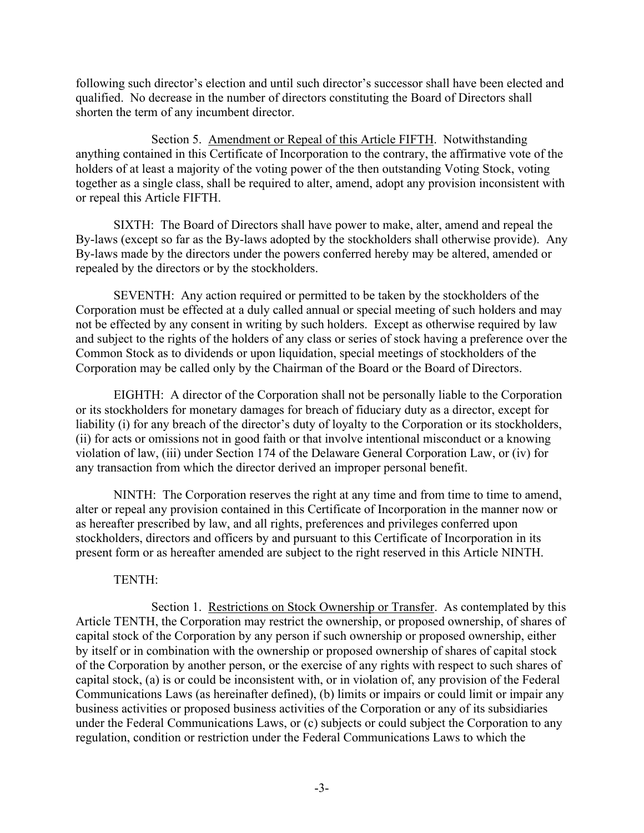following such director's election and until such director's successor shall have been elected and qualified. No decrease in the number of directors constituting the Board of Directors shall shorten the term of any incumbent director.

Section 5. Amendment or Repeal of this Article [FIFTH.](#page-1-0) Notwithstanding anything contained in this Certificate of Incorporation to the contrary, the affirmative vote of the holders of at least a majority of the voting power of the then outstanding Voting Stock, voting together as a single class, shall be required to alter, amend, adopt any provision inconsistent with or repeal this Article [FIFTH.](#page-1-0)

SIXTH: The Board of Directors shall have power to make, alter, amend and repeal the By-laws (except so far as the By-laws adopted by the stockholders shall otherwise provide). Any By-laws made by the directors under the powers conferred hereby may be altered, amended or repealed by the directors or by the stockholders.

SEVENTH: Any action required or permitted to be taken by the stockholders of the Corporation must be effected at a duly called annual or special meeting of such holders and may not be effected by any consent in writing by such holders. Except as otherwise required by law and subject to the rights of the holders of any class or series of stock having a preference over the Common Stock as to dividends or upon liquidation, special meetings of stockholders of the Corporation may be called only by the Chairman of the Board or the Board of Directors.

EIGHTH: A director of the Corporation shall not be personally liable to the Corporation or its stockholders for monetary damages for breach of fiduciary duty as a director, except for liability (i) for any breach of the director's duty of loyalty to the Corporation or its stockholders, (ii) for acts or omissions not in good faith or that involve intentional misconduct or a knowing violation of law, (iii) under Section 174 of the Delaware General Corporation Law, or (iv) for any transaction from which the director derived an improper personal benefit.

<span id="page-2-0"></span>NINTH: The Corporation reserves the right at any time and from time to time to amend, alter or repeal any provision contained in this Certificate of Incorporation in the manner now or as hereafter prescribed by law, and all rights, preferences and privileges conferred upon stockholders, directors and officers by and pursuant to this Certificate of Incorporation in its present form or as hereafter amended are subject to the right reserved in this Article [NINTH.](#page-2-0)

# TENTH:

<span id="page-2-1"></span>Section 1. Restrictions on Stock Ownership or Transfer. As contemplated by this Article [TENTH,](#page-2-1) the Corporation may restrict the ownership, or proposed ownership, of shares of capital stock of the Corporation by any person if such ownership or proposed ownership, either by itself or in combination with the ownership or proposed ownership of shares of capital stock of the Corporation by another person, or the exercise of any rights with respect to such shares of capital stock, (a) is or could be inconsistent with, or in violation of, any provision of the Federal Communications Laws (as hereinafter defined), (b) limits or impairs or could limit or impair any business activities or proposed business activities of the Corporation or any of its subsidiaries under the Federal Communications Laws, or (c) subjects or could subject the Corporation to any regulation, condition or restriction under the Federal Communications Laws to which the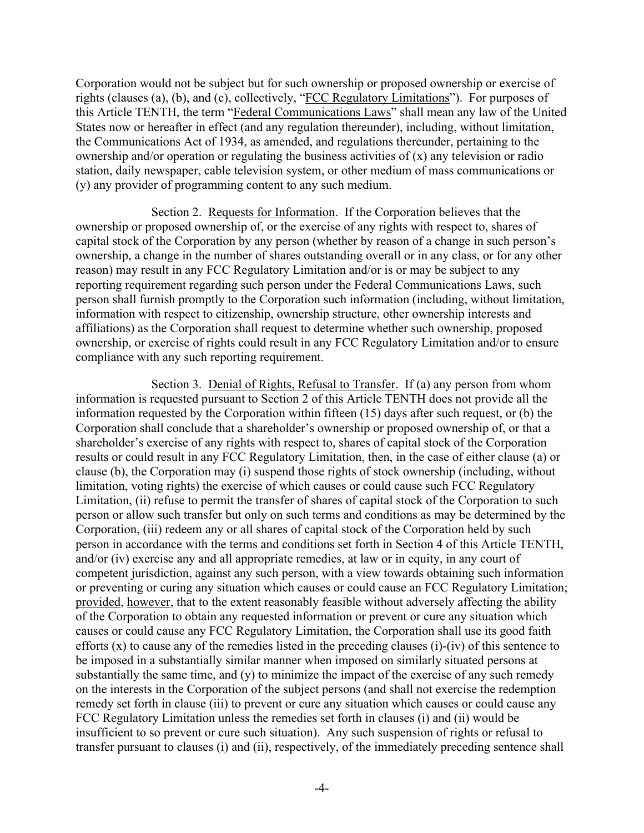Corporation would not be subject but for such ownership or proposed ownership or exercise of rights (clauses (a), (b), and (c), collectively, "FCC Regulatory Limitations"). For purposes of this Article [TENTH,](#page-2-1) the term "Federal Communications Laws" shall mean any law of the United States now or hereafter in effect (and any regulation thereunder), including, without limitation, the Communications Act of 1934, as amended, and regulations thereunder, pertaining to the ownership and/or operation or regulating the business activities of (x) any television or radio station, daily newspaper, cable television system, or other medium of mass communications or (y) any provider of programming content to any such medium.

<span id="page-3-0"></span>Section 2. Requests for Information. If the Corporation believes that the ownership or proposed ownership of, or the exercise of any rights with respect to, shares of capital stock of the Corporation by any person (whether by reason of a change in such person's ownership, a change in the number of shares outstanding overall or in any class, or for any other reason) may result in any FCC Regulatory Limitation and/or is or may be subject to any reporting requirement regarding such person under the Federal Communications Laws, such person shall furnish promptly to the Corporation such information (including, without limitation, information with respect to citizenship, ownership structure, other ownership interests and affiliations) as the Corporation shall request to determine whether such ownership, proposed ownership, or exercise of rights could result in any FCC Regulatory Limitation and/or to ensure compliance with any such reporting requirement.

<span id="page-3-1"></span>Section 3. Denial of Rights, Refusal to Transfer. If (a) any person from whom information is requested pursuant to [Section](#page-3-0) 2 of this Article [TENTH](#page-2-1) does not provide all the information requested by the Corporation within fifteen (15) days after such request, or (b) the Corporation shall conclude that a shareholder's ownership or proposed ownership of, or that a shareholder's exercise of any rights with respect to, shares of capital stock of the Corporation results or could result in any FCC Regulatory Limitation, then, in the case of either clause (a) or clause (b), the Corporation may (i) suspend those rights of stock ownership (including, without limitation, voting rights) the exercise of which causes or could cause such FCC Regulatory Limitation, (ii) refuse to permit the transfer of shares of capital stock of the Corporation to such person or allow such transfer but only on such terms and conditions as may be determined by the Corporation, (iii) redeem any or all shares of capital stock of the Corporation held by such person in accordance with the terms and conditions set forth in [Section](#page-4-0) 4 of this Article [TENTH,](#page-2-1) and/or (iv) exercise any and all appropriate remedies, at law or in equity, in any court of competent jurisdiction, against any such person, with a view towards obtaining such information or preventing or curing any situation which causes or could cause an FCC Regulatory Limitation; provided, however, that to the extent reasonably feasible without adversely affecting the ability of the Corporation to obtain any requested information or prevent or cure any situation which causes or could cause any FCC Regulatory Limitation, the Corporation shall use its good faith efforts (x) to cause any of the remedies listed in the preceding clauses (i)-(iv) of this sentence to be imposed in a substantially similar manner when imposed on similarly situated persons at substantially the same time, and (y) to minimize the impact of the exercise of any such remedy on the interests in the Corporation of the subject persons (and shall not exercise the redemption remedy set forth in clause (iii) to prevent or cure any situation which causes or could cause any FCC Regulatory Limitation unless the remedies set forth in clauses (i) and (ii) would be insufficient to so prevent or cure such situation). Any such suspension of rights or refusal to transfer pursuant to clauses (i) and (ii), respectively, of the immediately preceding sentence shall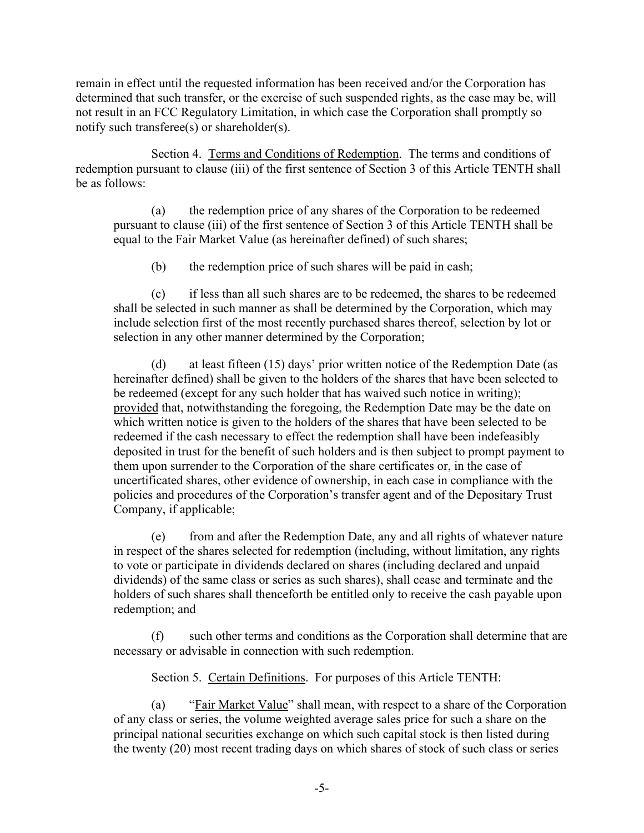remain in effect until the requested information has been received and/or the Corporation has determined that such transfer, or the exercise of such suspended rights, as the case may be, will not result in an FCC Regulatory Limitation, in which case the Corporation shall promptly so notify such transferee(s) or shareholder(s).

<span id="page-4-0"></span>Section 4. Terms and Conditions of Redemption. The terms and conditions of redemption pursuant to clause (iii) of the first sentence of [Section](#page-3-1) 3 of this Article [TENTH](#page-2-1) shall be as follows:

(a) the redemption price of any shares of the Corporation to be redeemed pursuant to clause (iii) of the first sentence of [Section](#page-3-1) 3 of this Article [TENTH](#page-2-1) shall be equal to the Fair Market Value (as hereinafter defined) of such shares;

(b) the redemption price of such shares will be paid in cash;

(c) if less than all such shares are to be redeemed, the shares to be redeemed shall be selected in such manner as shall be determined by the Corporation, which may include selection first of the most recently purchased shares thereof, selection by lot or selection in any other manner determined by the Corporation;

<span id="page-4-1"></span>(d) at least fifteen (15) days' prior written notice of the Redemption Date (as hereinafter defined) shall be given to the holders of the shares that have been selected to be redeemed (except for any such holder that has waived such notice in writing); provided that, notwithstanding the foregoing, the Redemption Date may be the date on which written notice is given to the holders of the shares that have been selected to be redeemed if the cash necessary to effect the redemption shall have been indefeasibly deposited in trust for the benefit of such holders and is then subject to prompt payment to them upon surrender to the Corporation of the share certificates or, in the case of uncertificated shares, other evidence of ownership, in each case in compliance with the policies and procedures of the Corporation's transfer agent and of the Depositary Trust Company, if applicable;

(e) from and after the Redemption Date, any and all rights of whatever nature in respect of the shares selected for redemption (including, without limitation, any rights to vote or participate in dividends declared on shares (including declared and unpaid dividends) of the same class or series as such shares), shall cease and terminate and the holders of such shares shall thenceforth be entitled only to receive the cash payable upon redemption; and

(f) such other terms and conditions as the Corporation shall determine that are necessary or advisable in connection with such redemption.

Section 5. Certain Definitions. For purposes of this Article [TENTH:](#page-2-1)

(a) "Fair Market Value" shall mean, with respect to a share of the Corporation of any class or series, the volume weighted average sales price for such a share on the principal national securities exchange on which such capital stock is then listed during the twenty (20) most recent trading days on which shares of stock of such class or series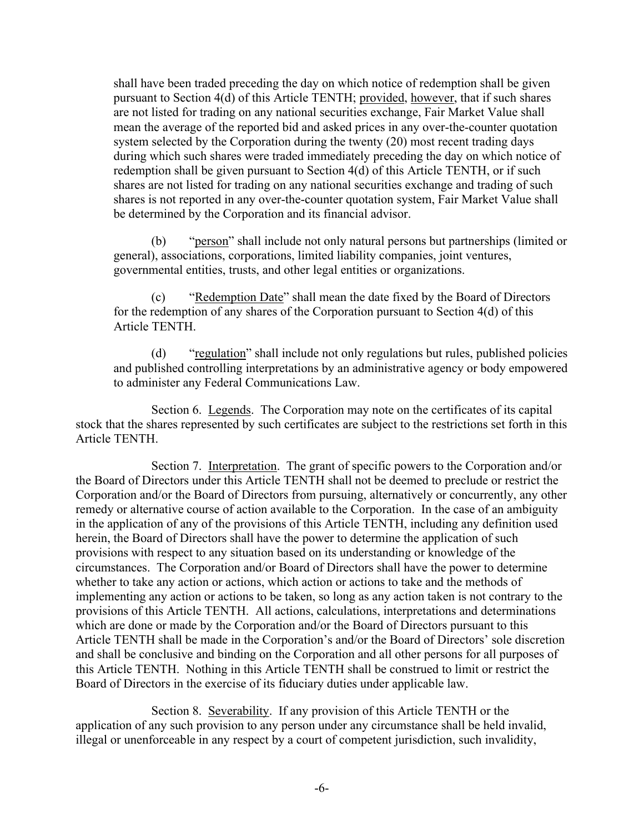shall have been traded preceding the day on which notice of redemption shall be given pursuant to [Section](#page-4-1) 4(d) of this Article [TENTH;](#page-2-1) provided, however, that if such shares are not listed for trading on any national securities exchange, Fair Market Value shall mean the average of the reported bid and asked prices in any over-the-counter quotation system selected by the Corporation during the twenty (20) most recent trading days during which such shares were traded immediately preceding the day on which notice of redemption shall be given pursuant to [Section](#page-4-1) 4(d) of this Article [TENTH,](#page-2-1) or if such shares are not listed for trading on any national securities exchange and trading of such shares is not reported in any over-the-counter quotation system, Fair Market Value shall be determined by the Corporation and its financial advisor.

"person" shall include not only natural persons but partnerships (limited or general), associations, corporations, limited liability companies, joint ventures, governmental entities, trusts, and other legal entities or organizations.

(c) "Redemption Date" shall mean the date fixed by the Board of Directors for the redemption of any shares of the Corporation pursuant to [Section 4\(d\)](#page-4-1) of this Article [TENTH.](#page-2-1)

(d) "regulation" shall include not only regulations but rules, published policies and published controlling interpretations by an administrative agency or body empowered to administer any Federal Communications Law.

Section 6. Legends. The Corporation may note on the certificates of its capital stock that the shares represented by such certificates are subject to the restrictions set forth in this Article [TENTH.](#page-2-1)

Section 7. Interpretation. The grant of specific powers to the Corporation and/or the Board of Directors under this Article [TENTH](#page-2-1) shall not be deemed to preclude or restrict the Corporation and/or the Board of Directors from pursuing, alternatively or concurrently, any other remedy or alternative course of action available to the Corporation. In the case of an ambiguity in the application of any of the provisions of this Article [TENTH,](#page-2-1) including any definition used herein, the Board of Directors shall have the power to determine the application of such provisions with respect to any situation based on its understanding or knowledge of the circumstances. The Corporation and/or Board of Directors shall have the power to determine whether to take any action or actions, which action or actions to take and the methods of implementing any action or actions to be taken, so long as any action taken is not contrary to the provisions of this Article [TENTH.](#page-2-1) All actions, calculations, interpretations and determinations which are done or made by the Corporation and/or the Board of Directors pursuant to this Article [TENTH](#page-2-1) shall be made in the Corporation's and/or the Board of Directors' sole discretion and shall be conclusive and binding on the Corporation and all other persons for all purposes of this Article [TENTH.](#page-2-1) Nothing in this Article [TENTH](#page-2-1) shall be construed to limit or restrict the Board of Directors in the exercise of its fiduciary duties under applicable law.

Section 8. Severability. If any provision of this Article [TENTH](#page-2-1) or the application of any such provision to any person under any circumstance shall be held invalid, illegal or unenforceable in any respect by a court of competent jurisdiction, such invalidity,